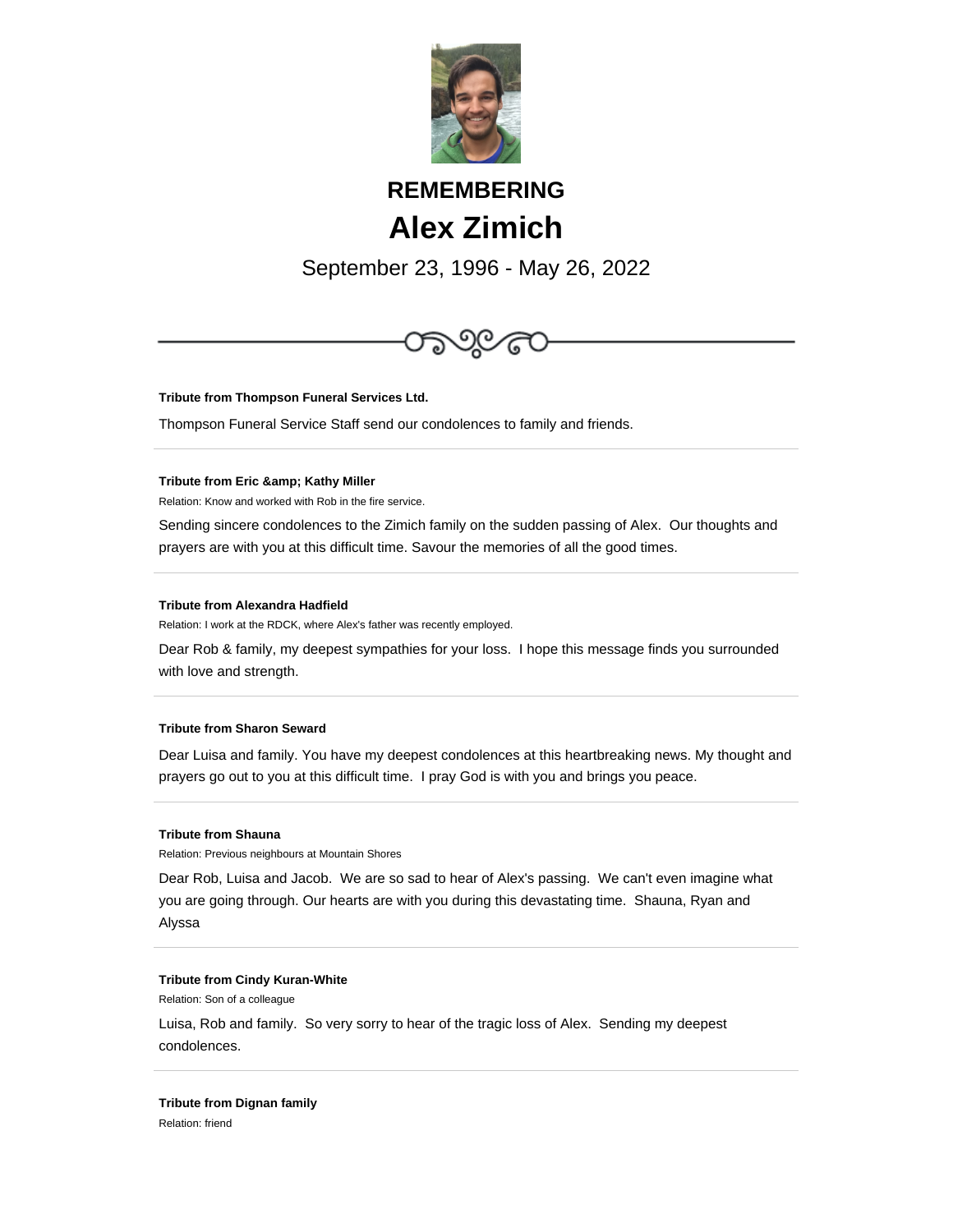

# **REMEMBERING Alex Zimich**

September 23, 1996 - May 26, 2022



**Tribute from Thompson Funeral Services Ltd.**

Thompson Funeral Service Staff send our condolences to family and friends.

#### **Tribute from Eric & amp; Kathy Miller**

Relation: Know and worked with Rob in the fire service.

Sending sincere condolences to the Zimich family on the sudden passing of Alex. Our thoughts and prayers are with you at this difficult time. Savour the memories of all the good times.

#### **Tribute from Alexandra Hadfield**

Relation: I work at the RDCK, where Alex's father was recently employed.

Dear Rob & family, my deepest sympathies for your loss. I hope this message finds you surrounded with love and strength.

## **Tribute from Sharon Seward**

Dear Luisa and family. You have my deepest condolences at this heartbreaking news. My thought and prayers go out to you at this difficult time. I pray God is with you and brings you peace.

#### **Tribute from Shauna**

Relation: Previous neighbours at Mountain Shores

Dear Rob, Luisa and Jacob. We are so sad to hear of Alex's passing. We can't even imagine what you are going through. Our hearts are with you during this devastating time. Shauna, Ryan and Alyssa

#### **Tribute from Cindy Kuran-White**

Relation: Son of a colleague

Luisa, Rob and family. So very sorry to hear of the tragic loss of Alex. Sending my deepest condolences.

#### **Tribute from Dignan family**

Relation: friend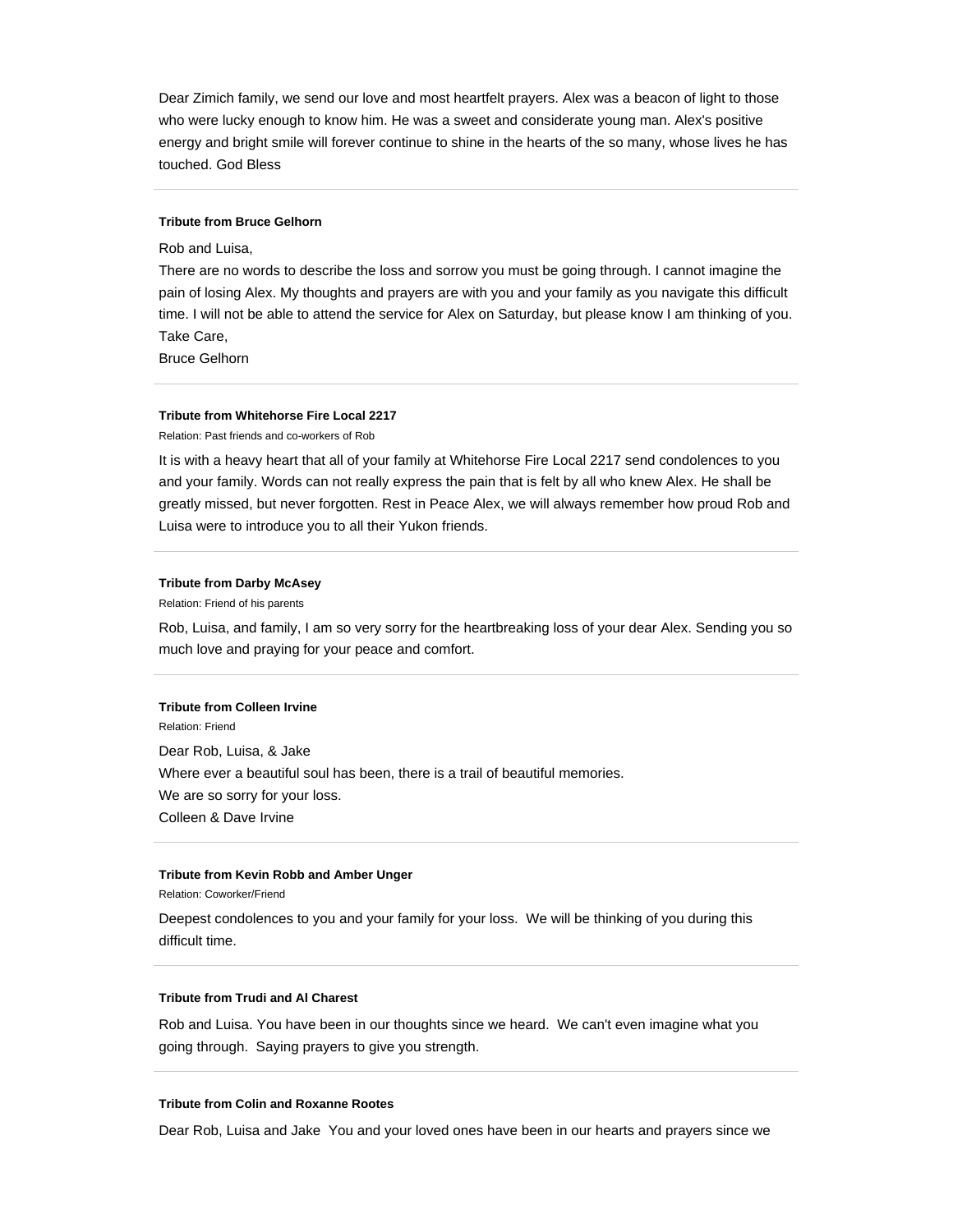Dear Zimich family, we send our love and most heartfelt prayers. Alex was a beacon of light to those who were lucky enough to know him. He was a sweet and considerate young man. Alex's positive energy and bright smile will forever continue to shine in the hearts of the so many, whose lives he has touched. God Bless

### **Tribute from Bruce Gelhorn**

Rob and Luisa,

There are no words to describe the loss and sorrow you must be going through. I cannot imagine the pain of losing Alex. My thoughts and prayers are with you and your family as you navigate this difficult time. I will not be able to attend the service for Alex on Saturday, but please know I am thinking of you. Take Care,

Bruce Gelhorn

## **Tribute from Whitehorse Fire Local 2217**

Relation: Past friends and co-workers of Rob

It is with a heavy heart that all of your family at Whitehorse Fire Local 2217 send condolences to you and your family. Words can not really express the pain that is felt by all who knew Alex. He shall be greatly missed, but never forgotten. Rest in Peace Alex, we will always remember how proud Rob and Luisa were to introduce you to all their Yukon friends.

## **Tribute from Darby McAsey**

Relation: Friend of his parents

Rob, Luisa, and family, I am so very sorry for the heartbreaking loss of your dear Alex. Sending you so much love and praying for your peace and comfort.

#### **Tribute from Colleen Irvine**

Relation: Friend Dear Rob, Luisa, & Jake Where ever a beautiful soul has been, there is a trail of beautiful memories. We are so sorry for your loss. Colleen & Dave Irvine

#### **Tribute from Kevin Robb and Amber Unger**

Relation: Coworker/Friend

Deepest condolences to you and your family for your loss. We will be thinking of you during this difficult time.

#### **Tribute from Trudi and Al Charest**

Rob and Luisa. You have been in our thoughts since we heard. We can't even imagine what you going through. Saying prayers to give you strength.

## **Tribute from Colin and Roxanne Rootes**

Dear Rob, Luisa and Jake You and your loved ones have been in our hearts and prayers since we